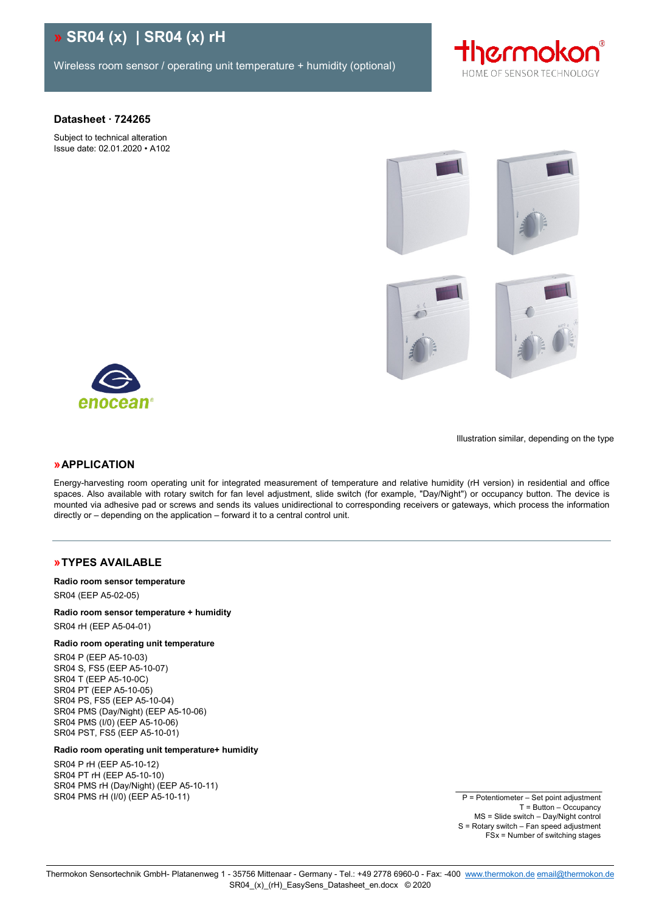# **» SR04 (x) | SR04 (x) rH**

Wireless room sensor / operating unit temperature + humidity (optional)



#### **Datasheet ∙ 724265**

Subject to technical alteration Issue date: 02.01.2020 • A102











Illustration similar, depending on the type

### **»APPLICATION**

Energy-harvesting room operating unit for integrated measurement of temperature and relative humidity (rH version) in residential and office spaces. Also available with rotary switch for fan level adjustment, slide switch (for example, "Day/Night") or occupancy button. The device is mounted via adhesive pad or screws and sends its values unidirectional to corresponding receivers or gateways, which process the information directly or – depending on the application – forward it to a central control unit.

### **»TYPES AVAILABLE**

#### **Radio room sensor temperature**

SR04 (EEP A5-02-05)

### **Radio room sensor temperature + humidity**

SR04 rH (EEP A5-04-01)

#### **Radio room operating unit temperature**

SR04 P (EEP A5-10-03) SR04 S, FS5 (EEP A5-10-07) SR04 T (EEP A5-10-0C) SR04 PT (EEP A5-10-05) SR04 PS, FS5 (EEP A5-10-04) SR04 PMS (Day/Night) (EEP A5-10-06) SR04 PMS (I/0) (EEP A5-10-06) SR04 PST, FS5 (EEP A5-10-01)

#### **Radio room operating unit temperature+ humidity**

SR04 P rH (EEP A5-10-12) SR04 PT rH (EEP A5-10-10) SR04 PMS rH (Day/Night) (EEP A5-10-11) SR04 PMS rH (I/0) (EEP A5-10-11)

P = Potentiometer – Set point adjustment T = Button – Occupancy MS = Slide switch – Day/Night control S = Rotary switch – Fan speed adjustment FSx = Number of switching stages

\_\_\_\_\_\_\_\_\_\_\_\_\_\_\_\_\_\_\_\_\_\_\_\_\_\_\_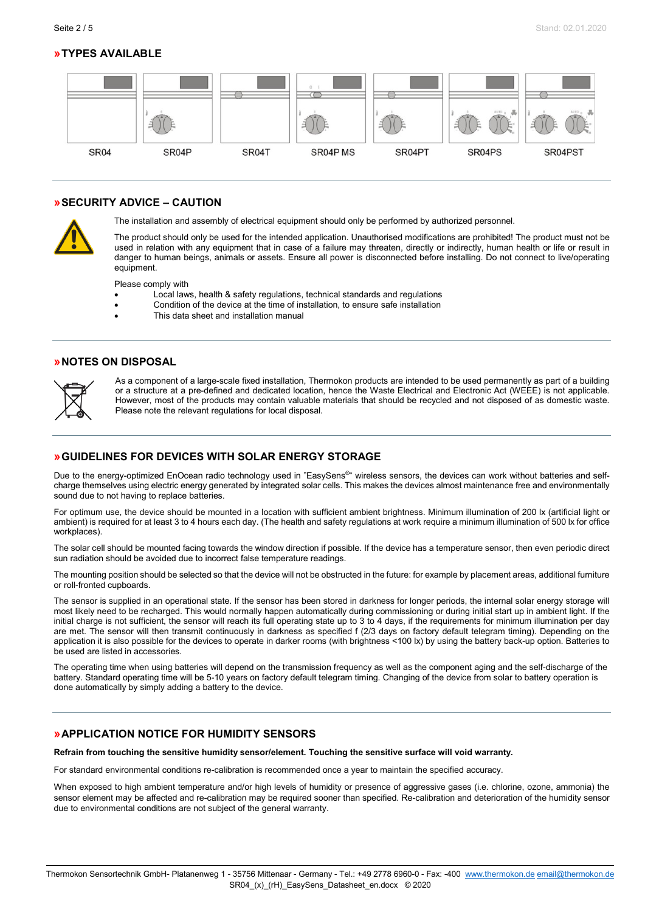## **»TYPES AVAILABLE**



### **»SECURITY ADVICE – CAUTION**



The installation and assembly of electrical equipment should only be performed by authorized personnel.

The product should only be used for the intended application. Unauthorised modifications are prohibited! The product must not be used in relation with any equipment that in case of a failure may threaten, directly or indirectly, human health or life or result in danger to human beings, animals or assets. Ensure all power is disconnected before installing. Do not connect to live/operating equipment.

Please comply with

- Local laws, health & safety regulations, technical standards and regulations
- Condition of the device at the time of installation, to ensure safe installation
- This data sheet and installation manual

### **»NOTES ON DISPOSAL**



As a component of a large-scale fixed installation, Thermokon products are intended to be used permanently as part of a building or a structure at a pre-defined and dedicated location, hence the Waste Electrical and Electronic Act (WEEE) is not applicable. However, most of the products may contain valuable materials that should be recycled and not disposed of as domestic waste. Please note the relevant regulations for local disposal.

### <span id="page-1-0"></span>**»GUIDELINES FOR DEVICES WITH SOLAR ENERGY STORAGE**

Due to the energy-optimized EnOcean radio technology used in "EasySens®" wireless sensors, the devices can work without batteries and selfcharge themselves using electric energy generated by integrated solar cells. This makes the devices almost maintenance free and environmentally sound due to not having to replace batteries.

For optimum use, the device should be mounted in a location with sufficient ambient brightness. Minimum illumination of 200 lx (artificial light or ambient) is required for at least 3 to 4 hours each day. (The health and safety regulations at work require a minimum illumination of 500 lx for office workplaces).

The solar cell should be mounted facing towards the window direction if possible. If the device has a temperature sensor, then even periodic direct sun radiation should be avoided due to incorrect false temperature readings.

The mounting position should be selected so that the device will not be obstructed in the future: for example by placement areas, additional furniture or roll-fronted cupboards.

The sensor is supplied in an operational state. If the sensor has been stored in darkness for longer periods, the internal solar energy storage will most likely need to be recharged. This would normally happen automatically during commissioning or during initial start up in ambient light. If the initial charge is not sufficient, the sensor will reach its full operating state up to 3 to 4 days, if the requirements for minimum illumination per day are met. The sensor will then transmit continuously in darkness as specified f (2/3 days on factory default telegram timing). Depending on the application it is also possible for the devices to operate in darker rooms (with brightness <100 lx) by using the battery back-up option. Batteries to be used are listed in accessories.

The operating time when using batteries will depend on the transmission frequency as well as the component aging and the self-discharge of the battery. Standard operating time will be 5-10 years on factory default telegram timing. Changing of the device from solar to battery operation is done automatically by simply adding a battery to the device.

### **»APPLICATION NOTICE FOR HUMIDITY SENSORS**

**Refrain from touching the sensitive humidity sensor/element. Touching the sensitive surface will void warranty.**

For standard environmental conditions re-calibration is recommended once a year to maintain the specified accuracy.

When exposed to high ambient temperature and/or high levels of humidity or presence of aggressive gases (i.e. chlorine, ozone, ammonia) the sensor element may be affected and re-calibration may be required sooner than specified. Re-calibration and deterioration of the humidity sensor due to environmental conditions are not subject of the general warranty.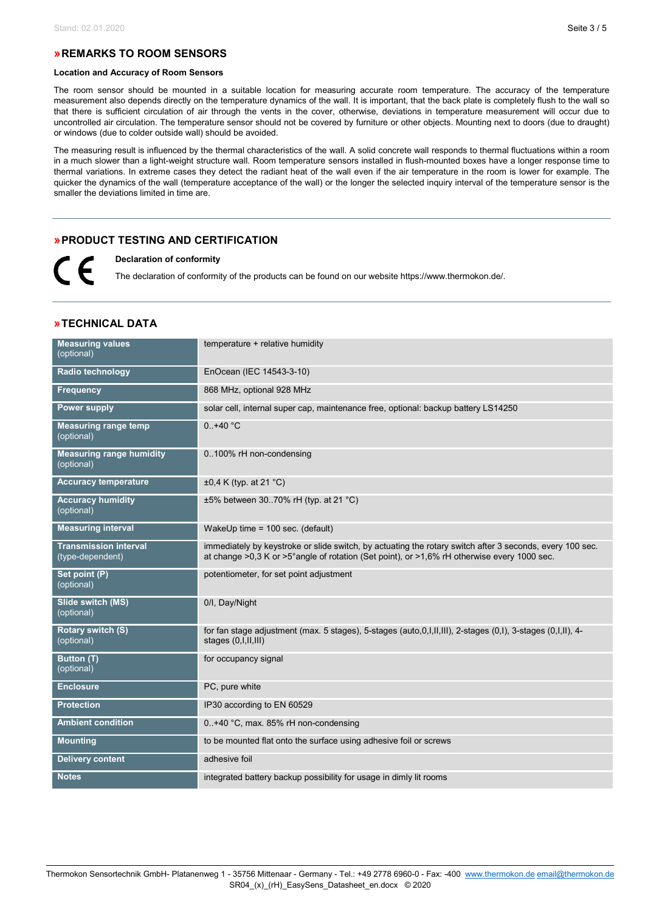### **»REMARKS TO ROOM SENSORS**

#### **Location and Accuracy of Room Sensors**

The room sensor should be mounted in a suitable location for measuring accurate room temperature. The accuracy of the temperature measurement also depends directly on the temperature dynamics of the wall. It is important, that the back plate is completely flush to the wall so that there is sufficient circulation of air through the vents in the cover, otherwise, deviations in temperature measurement will occur due to uncontrolled air circulation. The temperature sensor should not be covered by furniture or other objects. Mounting next to doors (due to draught) or windows (due to colder outside wall) should be avoided.

The measuring result is influenced by the thermal characteristics of the wall. A solid concrete wall responds to thermal fluctuations within a room in a much slower than a light-weight structure wall. Room temperature sensors installed in flush-mounted boxes have a longer response time to thermal variations. In extreme cases they detect the radiant heat of the wall even if the air temperature in the room is lower for example. The quicker the dynamics of the wall (temperature acceptance of the wall) or the longer the selected inquiry interval of the temperature sensor is the smaller the deviations limited in time are.

### **»PRODUCT TESTING AND CERTIFICATION**

**Declaration of conformity**  $\mathcal C\mathcal F$ 

The declaration of conformity of the products can be found on our websit[e https://www.thermokon.de/.](https://www.thermokon.de/downloadcenter/)

| » TECHNICAL DATA |  |
|------------------|--|
|------------------|--|

| <b>Measuring values</b><br>(optional)            | temperature + relative humidity                                                                                                                                                                          |
|--------------------------------------------------|----------------------------------------------------------------------------------------------------------------------------------------------------------------------------------------------------------|
| <b>Radio technology</b>                          | EnOcean (IEC 14543-3-10)                                                                                                                                                                                 |
| <b>Frequency</b>                                 | 868 MHz, optional 928 MHz                                                                                                                                                                                |
| <b>Power supply</b>                              | solar cell, internal super cap, maintenance free, optional: backup battery LS14250                                                                                                                       |
| <b>Measuring range temp</b><br>(optional)        | $0.+40 °C$                                                                                                                                                                                               |
| <b>Measuring range humidity</b><br>(optional)    | 0100% rH non-condensing                                                                                                                                                                                  |
| <b>Accuracy temperature</b>                      | $\pm 0.4$ K (typ. at 21 °C)                                                                                                                                                                              |
| <b>Accuracy humidity</b><br>(optional)           | $\pm 5\%$ between 3070% rH (typ. at 21 °C)                                                                                                                                                               |
| <b>Measuring interval</b>                        | WakeUp time = 100 sec. (default)                                                                                                                                                                         |
| <b>Transmission interval</b><br>(type-dependent) | immediately by keystroke or slide switch, by actuating the rotary switch after 3 seconds, every 100 sec.<br>at change >0,3 K or >5° angle of rotation (Set point), or >1,6% rH otherwise every 1000 sec. |
| Set point (P)<br>(optional)                      | potentiometer, for set point adjustment                                                                                                                                                                  |
| Slide switch (MS)<br>(optional)                  | 0/I, Day/Night                                                                                                                                                                                           |
| Rotary switch (S)<br>(optional)                  | for fan stage adjustment (max. 5 stages), 5-stages (auto, $0,1,11,111$ ), 2-stages $(0,1)$ , 3-stages $(0,1,11)$ , 4-<br>stages (0, I, II, III)                                                          |
| Button (T)<br>(optional)                         | for occupancy signal                                                                                                                                                                                     |
| Enclosure                                        | PC, pure white                                                                                                                                                                                           |
| <b>Protection</b>                                | IP30 according to EN 60529                                                                                                                                                                               |
| <b>Ambient condition</b>                         | 0+40 °C, max. 85% rH non-condensing                                                                                                                                                                      |
| <b>Mounting</b>                                  | to be mounted flat onto the surface using adhesive foil or screws                                                                                                                                        |
| <b>Delivery content</b>                          | adhesive foil                                                                                                                                                                                            |
| <b>Notes</b>                                     | integrated battery backup possibility for usage in dimly lit rooms                                                                                                                                       |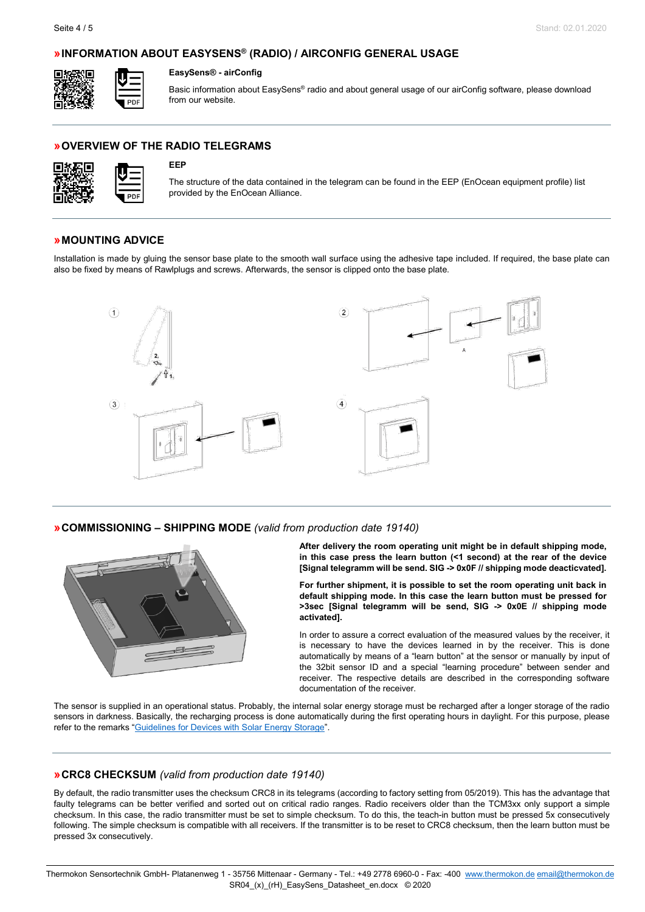### **»INFORMATION ABOUT EASYSENS® (RADIO) / AIRCONFIG GENERAL USAGE**



#### **EasySens® - airConfig**

Basic information about EasySens® radio and about general usage of our airConfig software, please download from our website.

### **»OVERVIEW OF THE RADIO TELEGRAMS**



#### **EEP**

The structure of the data contained in the telegram can be found in the EEP (EnOcean equipment profile) list provided by the EnOcean Alliance.

#### **»MOUNTING ADVICE**

Installation is made by gluing the sensor base plate to the smooth wall surface using the adhesive tape included. If required, the base plate can also be fixed by means of Rawlplugs and screws. Afterwards, the sensor is clipped onto the base plate.



**»COMMISSIONING – SHIPPING MODE** *(valid from production date 19140)*



**After delivery the room operating unit might be in default shipping mode, in this case press the learn button (<1 second) at the rear of the device [Signal telegramm will be send. SIG -> 0x0F // shipping mode deacticvated].**

**For further shipment, it is possible to set the room operating unit back in default shipping mode. In this case the learn button must be pressed for >3sec [Signal telegramm will be send, SIG -> 0x0E // shipping mode activated].**

In order to assure a correct evaluation of the measured values by the receiver, it is necessary to have the devices learned in by the receiver. This is done automatically by means of a "learn button" at the sensor or manually by input of the 32bit sensor ID and a special "learning procedure" between sender and receiver. The respective details are described in the corresponding software documentation of the receiver.

The sensor is supplied in an operational status. Probably, the internal solar energy storage must be recharged after a longer storage of the radio sensors in darkness. Basically, the recharging process is done automatically during the first operating hours in daylight. For this purpose, please refer to the remarks ["Guidelines for Devices with Solar Energy Storage"](#page-1-0).

#### **»CRC8 CHECKSUM** *(valid from production date 19140)*

By default, the radio transmitter uses the checksum CRC8 in its telegrams (according to factory setting from 05/2019). This has the advantage that faulty telegrams can be better verified and sorted out on critical radio ranges. Radio receivers older than the TCM3xx only support a simple checksum. In this case, the radio transmitter must be set to simple checksum. To do this, the teach-in button must be pressed 5x consecutively following. The simple checksum is compatible with all receivers. If the transmitter is to be reset to CRC8 checksum, then the learn button must be pressed 3x consecutively.